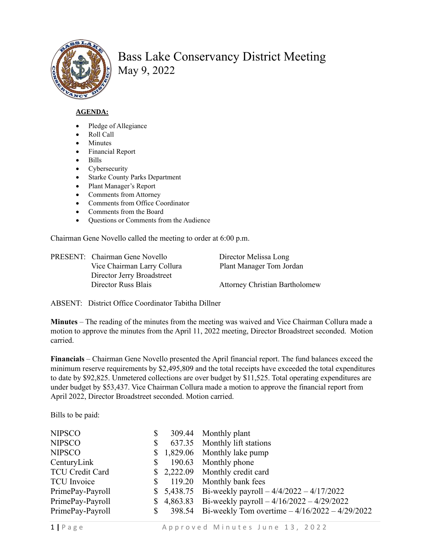

## Bass Lake Conservancy District Meeting May 9, 2022

## **AGENDA:**

- Pledge of Allegiance
- Roll Call
- **Minutes**
- Financial Report
- Bills
- Cybersecurity
- Starke County Parks Department
- Plant Manager's Report
- Comments from Attorney
- Comments from Office Coordinator
- Comments from the Board
- Questions or Comments from the Audience

Chairman Gene Novello called the meeting to order at 6:00 p.m.

| PRESENT: Chairman Gene Novello | Director Melissa Long                 |
|--------------------------------|---------------------------------------|
| Vice Chairman Larry Collura    | Plant Manager Tom Jordan              |
| Director Jerry Broadstreet     |                                       |
| Director Russ Blais            | <b>Attorney Christian Bartholomew</b> |

ABSENT: District Office Coordinator Tabitha Dillner

**Minutes** – The reading of the minutes from the meeting was waived and Vice Chairman Collura made a motion to approve the minutes from the April 11, 2022 meeting, Director Broadstreet seconded. Motion carried.

**Financials** – Chairman Gene Novello presented the April financial report. The fund balances exceed the minimum reserve requirements by \$2,495,809 and the total receipts have exceeded the total expenditures to date by \$92,825. Unmetered collections are over budget by \$11,525. Total operating expenditures are under budget by \$53,437. Vice Chairman Collura made a motion to approve the financial report from April 2022, Director Broadstreet seconded. Motion carried.

Bills to be paid:

| <b>NIPSCO</b>          | \$ | 309.44 Monthly plant                                   |
|------------------------|----|--------------------------------------------------------|
| <b>NIPSCO</b>          | S  | 637.35 Monthly lift stations                           |
| <b>NIPSCO</b>          |    | $$1,829.06$ Monthly lake pump                          |
| CenturyLink            | \$ | 190.63 Monthly phone                                   |
| <b>TCU Credit Card</b> |    | $$2,222.09$ Monthly credit card                        |
| <b>TCU</b> Invoice     | \$ | 119.20 Monthly bank fees                               |
| PrimePay-Payroll       |    | \$ 5,438.75 Bi-weekly payroll $-4/4/2022 - 4/17/2022$  |
| PrimePay-Payroll       |    | \$ 4,863.83 Bi-weekly payroll $-4/16/2022 - 4/29/2022$ |
| PrimePay-Payroll       | \$ | 398.54 Bi-weekly Tom overtime $-4/16/2022 - 4/29/2022$ |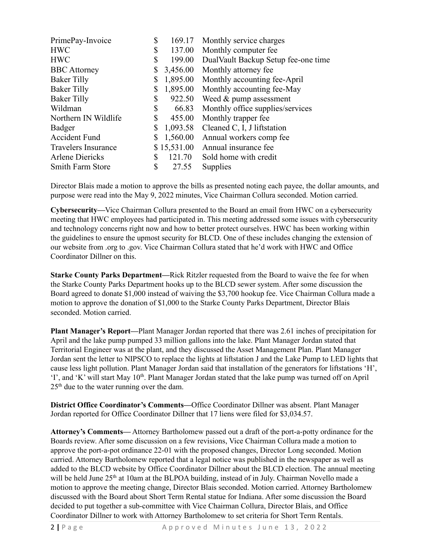| PrimePay-Invoice           | \$ | 169.17      | Monthly service charges             |
|----------------------------|----|-------------|-------------------------------------|
| <b>HWC</b>                 | \$ | 137.00      | Monthly computer fee                |
| <b>HWC</b>                 | \$ | 199.00      | DualVault Backup Setup fee-one time |
| <b>BBC</b> Attorney        | \$ | 3,456.00    | Monthly attorney fee                |
| <b>Baker Tilly</b>         | \$ | 1,895.00    | Monthly accounting fee-April        |
| <b>Baker Tilly</b>         | \$ | 1,895.00    | Monthly accounting fee-May          |
| <b>Baker Tilly</b>         | \$ | 922.50      | Weed & pump assessment              |
| Wildman                    | \$ | 66.83       | Monthly office supplies/services    |
| Northern IN Wildlife       | \$ | 455.00      | Monthly trapper fee                 |
| Badger                     | \$ | 1,093.58    | Cleaned C, I, J liftstation         |
| <b>Accident Fund</b>       |    | 1,560.00    | Annual workers comp fee             |
| <b>Travelers Insurance</b> |    | \$15,531.00 | Annual insurance fee                |
| <b>Arlene Diericks</b>     | S  | 121.70      | Sold home with credit               |
| <b>Smith Farm Store</b>    | \$ | 27.55       | Supplies                            |
|                            |    |             |                                     |

Director Blais made a motion to approve the bills as presented noting each payee, the dollar amounts, and purpose were read into the May 9, 2022 minutes, Vice Chairman Collura seconded. Motion carried.

**Cybersecurity—**Vice Chairman Collura presented to the Board an email from HWC on a cybersecurity meeting that HWC employees had participated in. This meeting addressed some issues with cybersecurity and technology concerns right now and how to better protect ourselves. HWC has been working within the guidelines to ensure the upmost security for BLCD. One of these includes changing the extension of our website from .org to .gov. Vice Chairman Collura stated that he'd work with HWC and Office Coordinator Dillner on this.

**Starke County Parks Department—**Rick Ritzler requested from the Board to waive the fee for when the Starke County Parks Department hooks up to the BLCD sewer system. After some discussion the Board agreed to donate \$1,000 instead of waiving the \$3,700 hookup fee. Vice Chairman Collura made a motion to approve the donation of \$1,000 to the Starke County Parks Department, Director Blais seconded. Motion carried.

**Plant Manager's Report—**Plant Manager Jordan reported that there was 2.61 inches of precipitation for April and the lake pump pumped 33 million gallons into the lake. Plant Manager Jordan stated that Territorial Engineer was at the plant, and they discussed the Asset Management Plan. Plant Manager Jordan sent the letter to NIPSCO to replace the lights at liftstation J and the Lake Pump to LED lights that cause less light pollution. Plant Manager Jordan said that installation of the generators for liftstations 'H', 'I', and 'K' will start May 10<sup>th</sup>. Plant Manager Jordan stated that the lake pump was turned off on April  $25<sup>th</sup>$  due to the water running over the dam.

**District Office Coordinator's Comments—**Office Coordinator Dillner was absent. Plant Manager Jordan reported for Office Coordinator Dillner that 17 liens were filed for \$3,034.57.

**Attorney's Comments—** Attorney Bartholomew passed out a draft of the port-a-potty ordinance for the Boards review. After some discussion on a few revisions, Vice Chairman Collura made a motion to approve the port-a-pot ordinance 22-01 with the proposed changes, Director Long seconded. Motion carried. Attorney Bartholomew reported that a legal notice was published in the newspaper as well as added to the BLCD website by Office Coordinator Dillner about the BLCD election. The annual meeting will be held June 25<sup>th</sup> at 10am at the BLPOA building, instead of in July. Chairman Novello made a motion to approve the meeting change, Director Blais seconded. Motion carried. Attorney Bartholomew discussed with the Board about Short Term Rental statue for Indiana. After some discussion the Board decided to put together a sub-committee with Vice Chairman Collura, Director Blais, and Office Coordinator Dillner to work with Attorney Bartholomew to set criteria for Short Term Rentals.